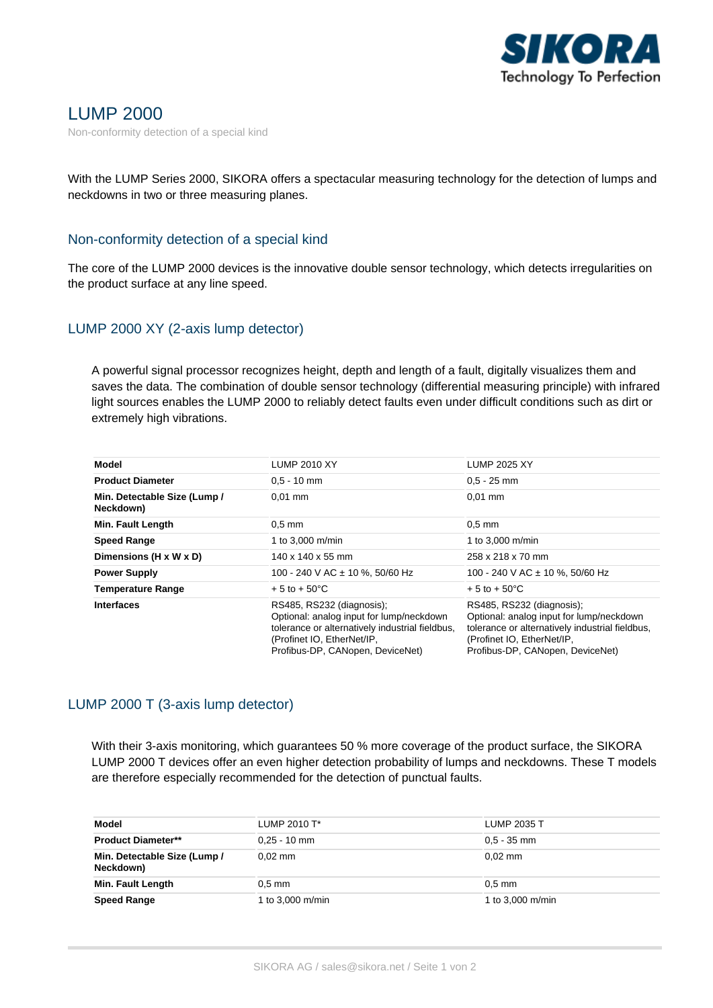

# LUMP 2000

Non-conformity detection of a special kind

With the LUMP Series 2000, SIKORA offers a spectacular measuring technology for the detection of lumps and neckdowns in two or three measuring planes.

#### Non-conformity detection of a special kind

The core of the LUMP 2000 devices is the innovative double sensor technology, which detects irregularities on the product surface at any line speed.

## LUMP 2000 XY (2-axis lump detector)

A powerful signal processor recognizes height, depth and length of a fault, digitally visualizes them and saves the data. The combination of double sensor technology (differential measuring principle) with infrared light sources enables the LUMP 2000 to reliably detect faults even under difficult conditions such as dirt or extremely high vibrations.

| Model                                     | <b>LUMP 2010 XY</b>                                                                                                                                                                        | <b>LUMP 2025 XY</b>                                                                                                                                                                        |
|-------------------------------------------|--------------------------------------------------------------------------------------------------------------------------------------------------------------------------------------------|--------------------------------------------------------------------------------------------------------------------------------------------------------------------------------------------|
| <b>Product Diameter</b>                   | $0.5 - 10$ mm                                                                                                                                                                              | $0.5 - 25$ mm                                                                                                                                                                              |
| Min. Detectable Size (Lump /<br>Neckdown) | $0.01$ mm                                                                                                                                                                                  | $0.01$ mm                                                                                                                                                                                  |
| Min. Fault Length                         | $0.5$ mm                                                                                                                                                                                   | $0.5$ mm                                                                                                                                                                                   |
| <b>Speed Range</b>                        | 1 to 3,000 m/min                                                                                                                                                                           | 1 to 3,000 m/min                                                                                                                                                                           |
| Dimensions (H x W x D)                    | $140 \times 140 \times 55$ mm                                                                                                                                                              | 258 x 218 x 70 mm                                                                                                                                                                          |
| <b>Power Supply</b>                       | 100 - 240 V AC ± 10 %, 50/60 Hz                                                                                                                                                            | 100 - 240 V AC $\pm$ 10 %, 50/60 Hz                                                                                                                                                        |
| <b>Temperature Range</b>                  | $+5$ to $+50^{\circ}$ C                                                                                                                                                                    | $+5$ to $+50^{\circ}$ C                                                                                                                                                                    |
| <b>Interfaces</b>                         | RS485, RS232 (diagnosis);<br>Optional: analog input for lump/neckdown<br>tolerance or alternatively industrial fieldbus,<br>(Profinet IO, EtherNet/IP,<br>Profibus-DP, CANopen, DeviceNet) | RS485, RS232 (diagnosis);<br>Optional: analog input for lump/neckdown<br>tolerance or alternatively industrial fieldbus,<br>(Profinet IO, EtherNet/IP,<br>Profibus-DP, CANopen, DeviceNet) |

### LUMP 2000 T (3-axis lump detector)

With their 3-axis monitoring, which guarantees 50 % more coverage of the product surface, the SIKORA LUMP 2000 T devices offer an even higher detection probability of lumps and neckdowns. These T models are therefore especially recommended for the detection of punctual faults.

| Model                                     | LUMP 2010 T <sup>*</sup> | LUMP 2035 T      |
|-------------------------------------------|--------------------------|------------------|
| <b>Product Diameter**</b>                 | $0.25 - 10$ mm           | $0.5 - 35$ mm    |
| Min. Detectable Size (Lump /<br>Neckdown) | $0.02$ mm                | $0.02$ mm        |
| Min. Fault Length                         | $0.5$ mm                 | $0.5$ mm         |
| <b>Speed Range</b>                        | 1 to 3,000 m/min         | 1 to 3,000 m/min |